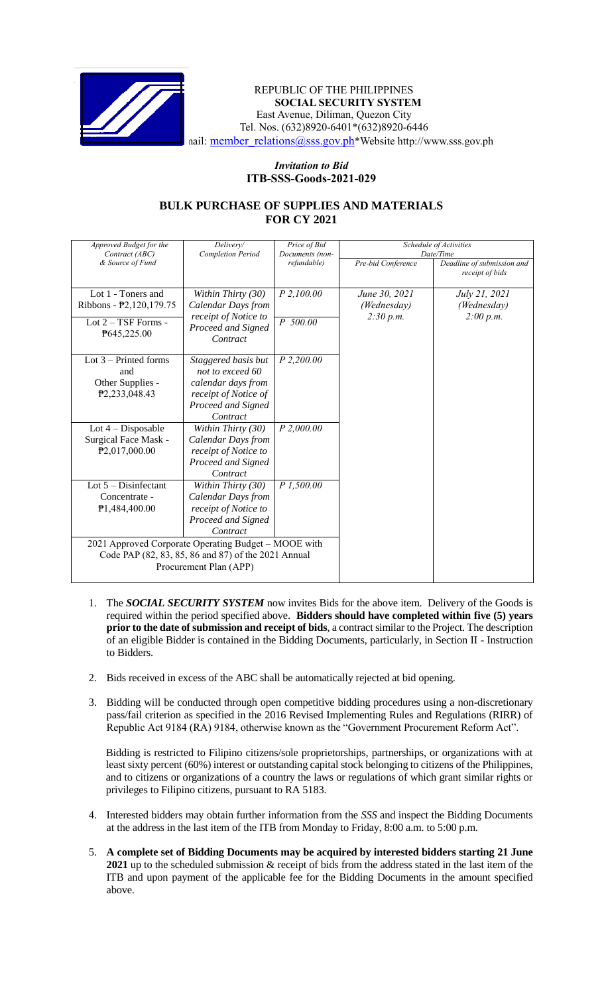

## REPUBLIC OF THE PHILIPPINES **SOCIAL SECURITY SYSTEM** East Avenue, Diliman, Quezon City Tel. Nos. (632)8920-6401\*(632)8920-6446 nail: [member\\_relations@sss.gov.ph](mailto:member_relations@sss.gov.ph)\*Website http://www.sss.gov.ph

## *Invitation to Bid*  **ITB-SSS-Goods-2021-029**

## **BULK PURCHASE OF SUPPLIES AND MATERIALS FOR CY 2021**

| Approved Budget for the                              | Delivery/                      | Price of Bid    | Schedule of Activities |                                               |
|------------------------------------------------------|--------------------------------|-----------------|------------------------|-----------------------------------------------|
| Contract (ABC)                                       | <b>Completion Period</b>       | Documents (non- | Date/Time              |                                               |
| & Source of Fund                                     |                                | refundable)     | Pre-bid Conference     | Deadline of submission and<br>receipt of bids |
|                                                      |                                |                 |                        |                                               |
| Lot 1 - Toners and                                   | Within Thirty (30)             | P 2,100.00      | June 30, 2021          | July 21, 2021                                 |
| Ribbons - P2,120,179.75                              | Calendar Days from             |                 | (Wednesday)            | (Wednesday)                                   |
| Lot $2 - TSF$ Forms -                                | receipt of Notice to           | P 500.00        | 2:30 p.m.              | 2:00 p.m.                                     |
| P645,225.00                                          | Proceed and Signed             |                 |                        |                                               |
|                                                      | Contract                       |                 |                        |                                               |
|                                                      |                                |                 |                        |                                               |
| Lot $3$ – Printed forms                              | Staggered basis but            | $P$ 2,200.00    |                        |                                               |
| and                                                  | not to exceed 60               |                 |                        |                                               |
| Other Supplies -                                     | calendar days from             |                 |                        |                                               |
| P2,233,048.43                                        | receipt of Notice of           |                 |                        |                                               |
|                                                      | Proceed and Signed<br>Contract |                 |                        |                                               |
|                                                      |                                |                 |                        |                                               |
| Lot $4$ – Disposable                                 | Within Thirty (30)             | P 2,000.00      |                        |                                               |
| Surgical Face Mask -                                 | <b>Calendar Days from</b>      |                 |                        |                                               |
| P2,017,000.00                                        | receipt of Notice to           |                 |                        |                                               |
|                                                      | Proceed and Signed<br>Contract |                 |                        |                                               |
| Lot $5 -$ Disinfectant                               | Within Thirty (30)             | P1,500.00       |                        |                                               |
| Concentrate -                                        | Calendar Days from             |                 |                        |                                               |
| P1,484,400.00                                        | receipt of Notice to           |                 |                        |                                               |
|                                                      | Proceed and Signed             |                 |                        |                                               |
|                                                      | Contract                       |                 |                        |                                               |
| 2021 Approved Corporate Operating Budget - MOOE with |                                |                 |                        |                                               |
| Code PAP (82, 83, 85, 86 and 87) of the 2021 Annual  |                                |                 |                        |                                               |
| Procurement Plan (APP)                               |                                |                 |                        |                                               |
|                                                      |                                |                 |                        |                                               |

- 1. The *SOCIAL SECURITY SYSTEM* now invites Bids for the above item. Delivery of the Goods is required within the period specified above. **Bidders should have completed within five (5) years prior to the date of submission and receipt of bids**, a contract similar to the Project. The description of an eligible Bidder is contained in the Bidding Documents, particularly, in Section II - Instruction to Bidders.
- 2. Bids received in excess of the ABC shall be automatically rejected at bid opening.
- 3. Bidding will be conducted through open competitive bidding procedures using a non-discretionary pass/fail criterion as specified in the 2016 Revised Implementing Rules and Regulations (RIRR) of Republic Act 9184 (RA) 9184, otherwise known as the "Government Procurement Reform Act".

Bidding is restricted to Filipino citizens/sole proprietorships, partnerships, or organizations with at least sixty percent (60%) interest or outstanding capital stock belonging to citizens of the Philippines, and to citizens or organizations of a country the laws or regulations of which grant similar rights or privileges to Filipino citizens, pursuant to RA 5183.

- 4. Interested bidders may obtain further information from the *SSS* and inspect the Bidding Documents at the address in the last item of the ITB from Monday to Friday, 8:00 a.m. to 5:00 p.m.
- 5. **A complete set of Bidding Documents may be acquired by interested bidders starting 21 June 2021** up to the scheduled submission & receipt of bids from the address stated in the last item of the ITB and upon payment of the applicable fee for the Bidding Documents in the amount specified above.